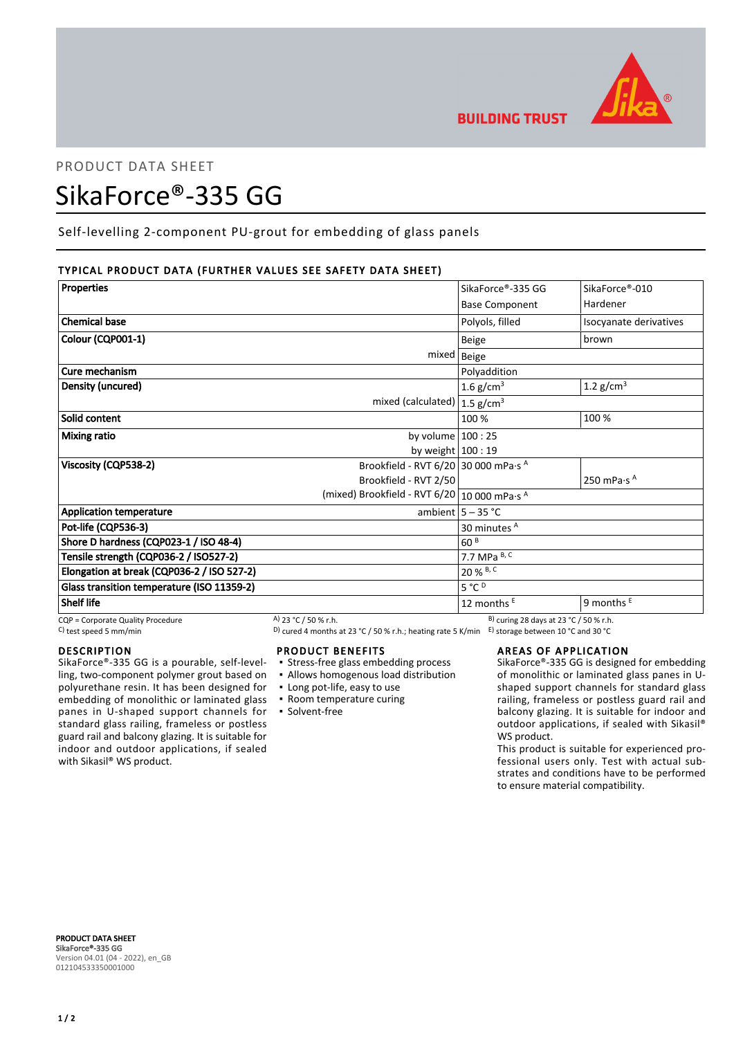

# PRODUCT DATA SHEET

## SikaForce®-335 GG

Self-levelling 2-component PU-grout for embedding of glass panels

## TYPICAL PRODUCT DATA (FURTHER VALUES SEE SAFETY DATA SHEET)

| <b>Properties</b>                              |                                             | SikaForce®-335 GG     | SikaForce®-010                  |
|------------------------------------------------|---------------------------------------------|-----------------------|---------------------------------|
|                                                |                                             |                       |                                 |
|                                                |                                             | <b>Base Component</b> | Hardener                        |
| <b>Chemical base</b>                           |                                             | Polyols, filled       | Isocyanate derivatives          |
| Colour (CQP001-1)                              |                                             | <b>Beige</b>          | brown                           |
|                                                |                                             | mixed   Beige         |                                 |
| Cure mechanism                                 |                                             | Polyaddition          |                                 |
| Density (uncured)                              |                                             | 1.6 g/cm <sup>3</sup> | 1.2 $g/cm3$                     |
|                                                | mixed (calculated) $ 1.5$ g/cm <sup>3</sup> |                       |                                 |
| Solid content                                  |                                             | 100 %                 | 100 %                           |
| Mixing ratio                                   | by volume $100:25$                          |                       |                                 |
|                                                | by weight $100:19$                          |                       |                                 |
| Viscosity (CQP538-2)                           | Brookfield - RVT 6/20 30 000 mPa·s $^A$     |                       |                                 |
|                                                | Brookfield - RVT 2/50                       |                       | 250 mPa $\cdot$ s $^{\text{A}}$ |
| (mixed) Brookfield - RVT 6/20   10 000 mPa·s A |                                             |                       |                                 |
| <b>Application temperature</b>                 |                                             | ambient $5 - 35$ °C   |                                 |
| Pot-life (CQP536-3)                            |                                             | 30 minutes A          |                                 |
| Shore D hardness (CQP023-1 / ISO 48-4)         |                                             | 60 <sup>B</sup>       |                                 |
| Tensile strength (CQP036-2 / ISO527-2)         |                                             | 7.7 MPa B, C          |                                 |
| Elongation at break (CQP036-2 / ISO 527-2)     |                                             | 20 % B, C             |                                 |
| Glass transition temperature (ISO 11359-2)     |                                             | $5^{\circ}C^{D}$      |                                 |
| <b>Shelf life</b>                              |                                             | 12 months $E$         | 9 months $E$                    |

## DESCRIPTION

SikaForce®-335 GG is a pourable, self-levelling, two-component polymer grout based on polyurethane resin. It has been designed for embedding of monolithic or laminated glass panes in U-shaped support channels for standard glass railing, frameless or postless guard rail and balcony glazing. It is suitable for indoor and outdoor applications, if sealed with Sikasil<sup>®</sup> WS product.

 $COP =$ Corporate Quality Procedure  $A)$  23 °C / 50 % r.h. B) curing 28 days at 23 °C / 50 % r.h.

C) test speed 5 mm/min D) cured 4 months at 23 °C / 50 % r.h.; heating rate 5 K/min E) storage between 10 °C and 30 °C

#### PRODUCT BENEFITS

- **Stress-free glass embedding process**
- Allows homogenous load distribution
- Long pot-life, easy to use
- Room temperature curing
- Solvent-free

## AREAS OF APPLICATION

SikaForce®-335 GG is designed for embedding of monolithic or laminated glass panes in Ushaped support channels for standard glass railing, frameless or postless guard rail and balcony glazing. It is suitable for indoor and outdoor applications, if sealed with Sikasil® WS product.

This product is suitable for experienced professional users only. Test with actual substrates and conditions have to be performed to ensure material compatibility.

PRODUCT DATA SHEET SikaForce®-335 GG Version 04.01 (04 - 2022), en\_GB 012104533350001000